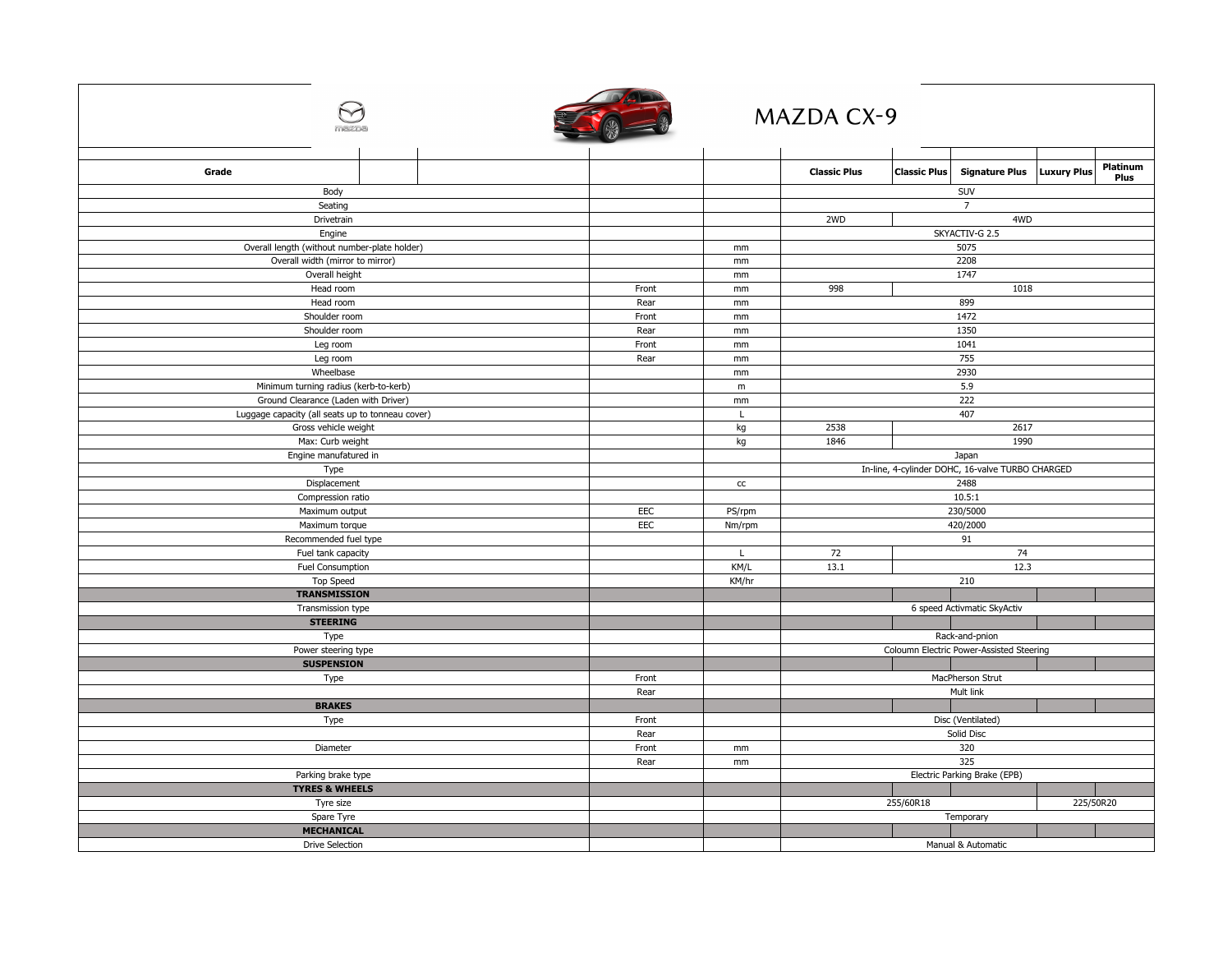|                                                  |  |            |               | <b>MAZDA CX-9</b>                                |                     |                             |                    |                  |
|--------------------------------------------------|--|------------|---------------|--------------------------------------------------|---------------------|-----------------------------|--------------------|------------------|
| Grade                                            |  |            |               | <b>Classic Plus</b>                              | <b>Classic Plus</b> | <b>Signature Plus</b>       | <b>Luxury Plus</b> | Platinum<br>Plus |
| Body                                             |  |            |               |                                                  |                     | SUV                         |                    |                  |
| Seating                                          |  |            |               | $\overline{7}$                                   |                     |                             |                    |                  |
| Drivetrain                                       |  |            |               | 2WD<br>4WD                                       |                     |                             |                    |                  |
| Engine                                           |  |            |               | SKYACTIV-G 2.5                                   |                     |                             |                    |                  |
| Overall length (without number-plate holder)     |  |            | mm            | 5075                                             |                     |                             |                    |                  |
| Overall width (mirror to mirror)                 |  |            | mm            | 2208                                             |                     |                             |                    |                  |
| Overall height                                   |  |            | mm            | 1747                                             |                     |                             |                    |                  |
| Head room                                        |  | Front      | mm            |                                                  | 998<br>1018         |                             |                    |                  |
| Head room                                        |  | Rear       | mm            | 899                                              |                     |                             |                    |                  |
| Shoulder room                                    |  | Front      | mm            | 1472                                             |                     |                             |                    |                  |
| Shoulder room                                    |  | Rear       | $\mathsf{mm}$ | 1350                                             |                     |                             |                    |                  |
| Leg room                                         |  | Front      | mm            | 1041                                             |                     |                             |                    |                  |
| Leg room                                         |  | Rear       | mm            | 755                                              |                     |                             |                    |                  |
| Wheelbase                                        |  |            | mm            | 2930                                             |                     |                             |                    |                  |
| Minimum turning radius (kerb-to-kerb)            |  |            | m             | 5.9                                              |                     |                             |                    |                  |
| Ground Clearance (Laden with Driver)             |  |            | mm            | 222                                              |                     |                             |                    |                  |
| Luggage capacity (all seats up to tonneau cover) |  |            | L             |                                                  | 407                 |                             |                    |                  |
| Gross vehicle weight                             |  |            | kg            | 2538                                             | 2617                |                             |                    |                  |
| Max: Curb weight                                 |  |            | kg            | 1990<br>1846                                     |                     |                             |                    |                  |
| Engine manufatured in                            |  |            |               | Japan                                            |                     |                             |                    |                  |
| Type                                             |  |            |               | In-line, 4-cylinder DOHC, 16-valve TURBO CHARGED |                     |                             |                    |                  |
| Displacement                                     |  |            | $\mathsf{cc}$ | 2488<br>10.5:1                                   |                     |                             |                    |                  |
| Compression ratio                                |  | <b>EEC</b> |               | 230/5000                                         |                     |                             |                    |                  |
| Maximum output                                   |  | EEC        | PS/rpm        | 420/2000                                         |                     |                             |                    |                  |
| Maximum torque                                   |  |            | Nm/rpm        | 91                                               |                     |                             |                    |                  |
| Recommended fuel type                            |  |            | L             | 72<br>74                                         |                     |                             |                    |                  |
| Fuel tank capacity<br>Fuel Consumption           |  |            | KM/L          | 12.3<br>13.1                                     |                     |                             |                    |                  |
| <b>Top Speed</b>                                 |  |            | KM/hr         | 210                                              |                     |                             |                    |                  |
| <b>TRANSMISSION</b>                              |  |            |               |                                                  |                     |                             |                    |                  |
| Transmission type                                |  |            |               |                                                  |                     | 6 speed Activmatic SkyActiv |                    |                  |
| <b>STEERING</b>                                  |  |            |               |                                                  |                     |                             |                    |                  |
| Type                                             |  |            |               |                                                  | Rack-and-pnion      |                             |                    |                  |
| Power steering type                              |  |            |               | Coloumn Electric Power-Assisted Steering         |                     |                             |                    |                  |
| <b>SUSPENSION</b>                                |  |            |               |                                                  |                     |                             |                    |                  |
| Type                                             |  | Front      |               | MacPherson Strut                                 |                     |                             |                    |                  |
|                                                  |  | Rear       |               | Mult link                                        |                     |                             |                    |                  |
| <b>BRAKES</b>                                    |  |            |               |                                                  |                     |                             |                    |                  |
| Type                                             |  | Front      |               | Disc (Ventilated)                                |                     |                             |                    |                  |
|                                                  |  | Rear       |               | Solid Disc                                       |                     |                             |                    |                  |
| Diameter                                         |  | Front      | mm            | 320                                              |                     |                             |                    |                  |
|                                                  |  | Rear       | mm            | 325                                              |                     |                             |                    |                  |
| Parking brake type                               |  |            |               | Electric Parking Brake (EPB)                     |                     |                             |                    |                  |
| <b>TYRES &amp; WHEELS</b>                        |  |            |               |                                                  |                     |                             |                    |                  |
| Tyre size                                        |  |            |               |                                                  | 255/60R18           |                             | 225/50R20          |                  |
| Spare Tyre                                       |  |            |               |                                                  |                     | Temporary                   |                    |                  |
| <b>MECHANICAL</b>                                |  |            |               |                                                  |                     |                             |                    |                  |
| <b>Drive Selection</b>                           |  |            |               |                                                  |                     | Manual & Automatic          |                    |                  |